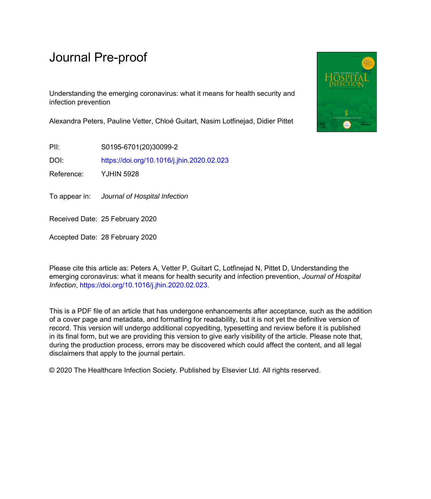# Journal Pre-proof

Understanding the emerging coronavirus: what it means for health security and infection prevention

Alexandra Peters, Pauline Vetter, Chloé Guitart, Nasim Lotfinejad, Didier Pittet

PII: S0195-6701(20)30099-2

DOI: <https://doi.org/10.1016/j.jhin.2020.02.023>

Reference: YJHIN 5928

To appear in: Journal of Hospital Infection

Received Date: 25 February 2020

Accepted Date: 28 February 2020

Please cite this article as: Peters A, Vetter P, Guitart C, Lotfinejad N, Pittet D, Understanding the emerging coronavirus: what it means for health security and infection prevention, *Journal of Hospital Infection*,<https://doi.org/10.1016/j.jhin.2020.02.023>.

This is a PDF file of an article that has undergone enhancements after acceptance, such as the addition of a cover page and metadata, and formatting for readability, but it is not yet the definitive version of record. This version will undergo additional copyediting, typesetting and review before it is published in its final form, but we are providing this version to give early visibility of the article. Please note that, during the production process, errors may be discovered which could affect the content, and all legal disclaimers that apply to the journal pertain.

© 2020 The Healthcare Infection Society. Published by Elsevier Ltd. All rights reserved.

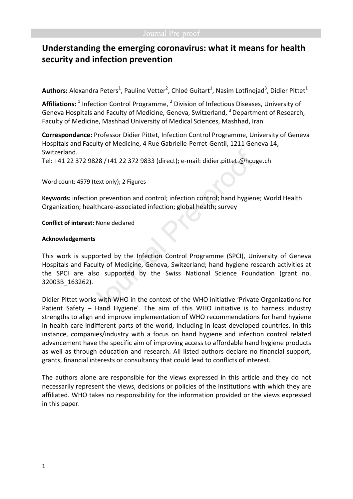## **Understanding the emerging coronavirus: what it means for health security and infection prevention**

Authors: Alexandra Peters<sup>1</sup>, Pauline Vetter<sup>2</sup>, Chloé Guitart<sup>1</sup>, Nasim Lotfinejad<sup>3</sup>, Didier Pittet<sup>1</sup>

Affiliations: <sup>1</sup> Infection Control Programme, <sup>2</sup> Division of Infectious Diseases, University of Geneva Hospitals and Faculty of Medicine, Geneva, Switzerland,  $3$  Department of Research, Faculty of Medicine, Mashhad University of Medical Sciences, Mashhad, Iran

**Correspondance:** Professor Didier Pittet, Infection Control Programme, University of Geneva Hospitals and Faculty of Medicine, 4 Rue Gabrielle-Perret-Gentil, 1211 Geneva 14, Switzerland.

Tel: +41 22 372 9828 /+41 22 372 9833 (direct); e-mail: didier.pittet.@hcuge.ch

Word count: 4579 (text only); 2 Figures

**Keywords:** infection prevention and control; infection control; hand hygiene; World Health Organization; healthcare-associated infection; global health; survey

**Conflict of interest:** None declared

### **Acknowledgements**

This work is supported by the Infection Control Programme (SPCI), University of Geneva Hospitals and Faculty of Medicine, Geneva, Switzerland; hand hygiene research activities at the SPCI are also supported by the Swiss National Science Foundation (grant no. 32003B\_163262).

Didier Pittet works with WHO in the context of the WHO initiative 'Private Organizations for Patient Safety – Hand Hygiene'. The aim of this WHO initiative is to harness industry strengths to align and improve implementation of WHO recommendations for hand hygiene in health care indifferent parts of the world, including in least developed countries. In this instance, companies/industry with a focus on hand hygiene and infection control related advancement have the specific aim of improving access to affordable hand hygiene products as well as through education and research. All listed authors declare no financial support, grants, financial interests or consultancy that could lead to conflicts of interest.

The authors alone are responsible for the views expressed in this article and they do not necessarily represent the views, decisions or policies of the institutions with which they are affiliated. WHO takes no responsibility for the information provided or the views expressed in this paper.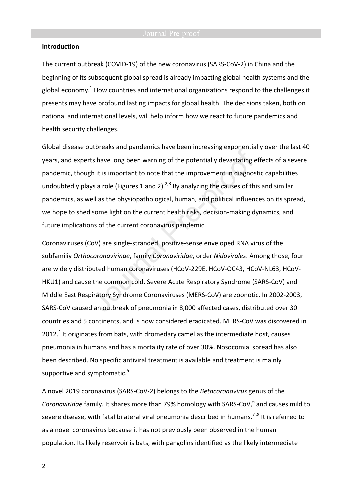### **Introduction**

The current outbreak (COVID-19) of the new coronavirus (SARS-CoV-2) in China and the beginning of its subsequent global spread is already impacting global health systems and the global economy.<sup>1</sup> How countries and international organizations respond to the challenges it presents may have profound lasting impacts for global health. The decisions taken, both on national and international levels, will help inform how we react to future pandemics and health security challenges.

Global disease outbreaks and pandemics have been increasing exponentially over the last 40 years, and experts have long been warning of the potentially devastating effects of a severe pandemic, though it is important to note that the improvement in diagnostic capabilities undoubtedly plays a role (Figures 1 and 2).<sup>2,3</sup> By analyzing the causes of this and similar pandemics, as well as the physiopathological, human, and political influences on its spread, we hope to shed some light on the current health risks, decision-making dynamics, and future implications of the current coronavirus pandemic.

Coronaviruses (CoV) are single-stranded, positive-sense enveloped RNA virus of the subfamiliy *Orthocoronavirinae*, family *Coronaviridae*, order *Nidovirales*. Among those, four are widely distributed human coronaviruses (HCoV-229E, HCoV-OC43, HCoV-NL63, HCoV-HKU1) and cause the common cold. Severe Acute Respiratory Syndrome (SARS-CoV) and Middle East Respiratory Syndrome Coronaviruses (MERS-CoV) are zoonotic. In 2002-2003, SARS-CoV caused an outbreak of pneumonia in 8,000 affected cases, distributed over 30 countries and 5 continents, and is now considered eradicated. MERS-CoV was discovered in 2012.<sup>4</sup> It originates from bats, with dromedary camel as the intermediate host, causes pneumonia in humans and has a mortality rate of over 30%. Nosocomial spread has also been described. No specific antiviral treatment is available and treatment is mainly supportive and symptomatic.<sup>5</sup>

A novel 2019 coronavirus (SARS-CoV-2) belongs to the *Betacoronavirus* genus of the Coronaviridae family. It shares more than 79% homology with SARS-CoV,<sup>6</sup> and causes mild to severe disease, with fatal bilateral viral pneumonia described in humans.<sup>7,8</sup> It is referred to as a novel coronavirus because it has not previously been observed in the human population. Its likely reservoir is bats, with pangolins identified as the likely intermediate

2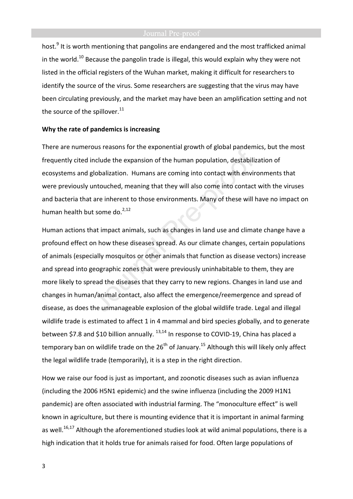host.<sup>9</sup> It is worth mentioning that pangolins are endangered and the most trafficked animal in the world.<sup>10</sup> Because the pangolin trade is illegal, this would explain why they were not listed in the official registers of the Wuhan market, making it difficult for researchers to identify the source of the virus. Some researchers are suggesting that the virus may have been circulating previously, and the market may have been an amplification setting and not the source of the spillover. $11$ 

### **Why the rate of pandemics is increasing**

There are numerous reasons for the exponential growth of global pandemics, but the most frequently cited include the expansion of the human population, destabilization of ecosystems and globalization. Humans are coming into contact with environments that were previously untouched, meaning that they will also come into contact with the viruses and bacteria that are inherent to those environments. Many of these will have no impact on human health but some do.<sup>2,12</sup>

Human actions that impact animals, such as changes in land use and climate change have a profound effect on how these diseases spread. As our climate changes, certain populations of animals (especially mosquitos or other animals that function as disease vectors) increase and spread into geographic zones that were previously uninhabitable to them, they are more likely to spread the diseases that they carry to new regions. Changes in land use and changes in human/animal contact, also affect the emergence/reemergence and spread of disease, as does the unmanageable explosion of the global wildlife trade. Legal and illegal wildlife trade is estimated to affect 1 in 4 mammal and bird species globally, and to generate between \$7.8 and \$10 billion annually.  $^{13,14}$  In response to COVID-19, China has placed a temporary ban on wildlife trade on the  $26<sup>th</sup>$  of January.<sup>15</sup> Although this will likely only affect the legal wildlife trade (temporarily), it is a step in the right direction.

How we raise our food is just as important, and zoonotic diseases such as avian influenza (including the 2006 H5N1 epidemic) and the swine influenza (including the 2009 H1N1 pandemic) are often associated with industrial farming. The "monoculture effect" is well known in agriculture, but there is mounting evidence that it is important in animal farming as well.<sup>16,17</sup> Although the aforementioned studies look at wild animal populations, there is a high indication that it holds true for animals raised for food. Often large populations of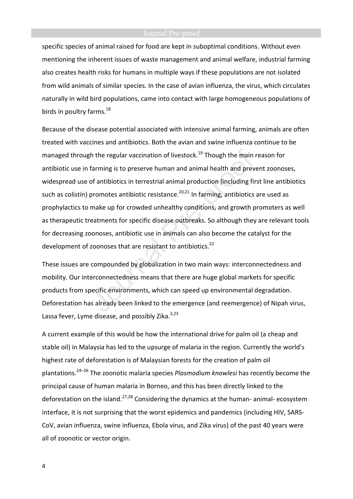specific species of animal raised for food are kept in suboptimal conditions. Without even mentioning the inherent issues of waste management and animal welfare, industrial farming also creates health risks for humans in multiple ways if these populations are not isolated from wild animals of similar species. In the case of avian influenza, the virus, which circulates naturally in wild bird populations, came into contact with large homogeneous populations of birds in poultry farms. $^{18}$ 

Because of the disease potential associated with intensive animal farming, animals are often treated with vaccines and antibiotics. Both the avian and swine influenza continue to be managed through the regular vaccination of livestock.<sup>19</sup> Though the main reason for antibiotic use in farming is to preserve human and animal health and prevent zoonoses, widespread use of antibiotics in terrestrial animal production (including first line antibiotics such as colistin) promotes antibiotic resistance.<sup>20,21</sup> In farming, antibiotics are used as prophylactics to make up for crowded unhealthy conditions, and growth promoters as well as therapeutic treatments for specific disease outbreaks. So although they are relevant tools for decreasing zoonoses, antibiotic use in animals can also become the catalyst for the development of zoonoses that are resistant to antibiotics.<sup>22</sup>

These issues are compounded by globalization in two main ways: interconnectedness and mobility. Our interconnectedness means that there are huge global markets for specific products from specific environments, which can speed up environmental degradation. Deforestation has already been linked to the emergence (and reemergence) of Nipah virus, Lassa fever, Lyme disease, and possibly Zika.<sup>3,23</sup>

A current example of this would be how the international drive for palm oil (a cheap and stable oil) in Malaysia has led to the upsurge of malaria in the region. Currently the world's highest rate of deforestation is of Malaysian forests for the creation of palm oil plantations.24–26 The zoonotic malaria species *Plasmodium knowlesi* has recently become the principal cause of human malaria in Borneo, and this has been directly linked to the deforestation on the island.<sup>27,28</sup> Considering the dynamics at the human- animal- ecosystem interface, it is not surprising that the worst epidemics and pandemics (including HIV, SARS-CoV, avian influenza, swine influenza, Ebola virus, and Zika virus) of the past 40 years were all of zoonotic or vector origin.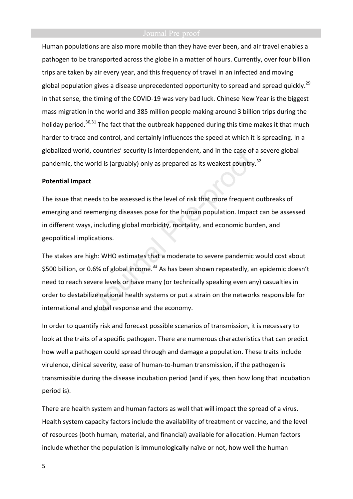Human populations are also more mobile than they have ever been, and air travel enables a pathogen to be transported across the globe in a matter of hours. Currently, over four billion trips are taken by air every year, and this frequency of travel in an infected and moving global population gives a disease unprecedented opportunity to spread and spread quickly.<sup>29</sup> In that sense, the timing of the COVID-19 was very bad luck. Chinese New Year is the biggest mass migration in the world and 385 million people making around 3 billion trips during the holiday period.<sup>30,31</sup> The fact that the outbreak happened during this time makes it that much harder to trace and control, and certainly influences the speed at which it is spreading. In a globalized world, countries' security is interdependent, and in the case of a severe global pandemic, the world is (arguably) only as prepared as its weakest country.<sup>32</sup>

### **Potential Impact**

The issue that needs to be assessed is the level of risk that more frequent outbreaks of emerging and reemerging diseases pose for the human population. Impact can be assessed in different ways, including global morbidity, mortality, and economic burden, and geopolitical implications.

The stakes are high: WHO estimates that a moderate to severe pandemic would cost about \$500 billion, or 0.6% of global income.<sup>33</sup> As has been shown repeatedly, an epidemic doesn't need to reach severe levels or have many (or technically speaking even any) casualties in order to destabilize national health systems or put a strain on the networks responsible for international and global response and the economy.

In order to quantify risk and forecast possible scenarios of transmission, it is necessary to look at the traits of a specific pathogen. There are numerous characteristics that can predict how well a pathogen could spread through and damage a population. These traits include virulence, clinical severity, ease of human-to-human transmission, if the pathogen is transmissible during the disease incubation period (and if yes, then how long that incubation period is).

There are health system and human factors as well that will impact the spread of a virus. Health system capacity factors include the availability of treatment or vaccine, and the level of resources (both human, material, and financial) available for allocation. Human factors include whether the population is immunologically naïve or not, how well the human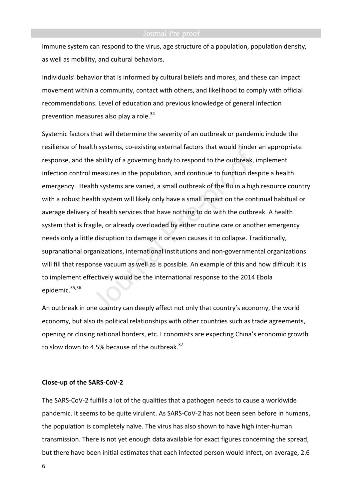immune system can respond to the virus, age structure of a population, population density, as well as mobility, and cultural behaviors.

Individuals' behavior that is informed by cultural beliefs and mores, and these can impact movement within a community, contact with others, and likelihood to comply with official recommendations. Level of education and previous knowledge of general infection prevention measures also play a role.<sup>34</sup>

Systemic factors that will determine the severity of an outbreak or pandemic include the resilience of health systems, co-existing external factors that would hinder an appropriate response, and the ability of a governing body to respond to the outbreak, implement infection control measures in the population, and continue to function despite a health emergency. Health systems are varied, a small outbreak of the flu in a high resource country with a robust health system will likely only have a small impact on the continual habitual or average delivery of health services that have nothing to do with the outbreak. A health system that is fragile, or already overloaded by either routine care or another emergency needs only a little disruption to damage it or even causes it to collapse. Traditionally, supranational organizations, international institutions and non-governmental organizations will fill that response vacuum as well as is possible. An example of this and how difficult it is to implement effectively would be the international response to the 2014 Ebola epidemic.<sup>35,36</sup>

An outbreak in one country can deeply affect not only that country's economy, the world economy, but also its political relationships with other countries such as trade agreements, opening or closing national borders, etc. Economists are expecting China's economic growth to slow down to 4.5% because of the outbreak. $37$ 

### **Close-up of the SARS-CoV-2**

The SARS-CoV-2 fulfills a lot of the qualities that a pathogen needs to cause a worldwide pandemic. It seems to be quite virulent. As SARS-CoV-2 has not been seen before in humans, the population is completely naïve. The virus has also shown to have high inter-human transmission. There is not yet enough data available for exact figures concerning the spread, but there have been initial estimates that each infected person would infect, on average, 2.6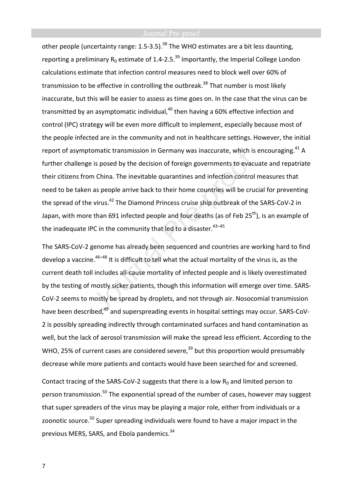other people (uncertainty range: 1.5-3.5).<sup>38</sup> The WHO estimates are a bit less daunting, reporting a preliminary  $R_0$  estimate of 1.4-2.5.<sup>39</sup> Importantly, the Imperial College London calculations estimate that infection control measures need to block well over 60% of transmission to be effective in controlling the outbreak.<sup>38</sup> That number is most likely inaccurate, but this will be easier to assess as time goes on. In the case that the virus can be transmitted by an asymptomatic individual, $40$  then having a 60% effective infection and control (IPC) strategy will be even more difficult to implement, especially because most of the people infected are in the community and not in healthcare settings. However, the initial report of asymptomatic transmission in Germany was inaccurate, which is encouraging. $41$  A further challenge is posed by the decision of foreign governments to evacuate and repatriate their citizens from China. The inevitable quarantines and infection control measures that need to be taken as people arrive back to their home countries will be crucial for preventing the spread of the virus.<sup>42</sup> The Diamond Princess cruise ship outbreak of the SARS-CoV-2 in Japan, with more than 691 infected people and four deaths (as of Feb 25<sup>th</sup>), is an example of the inadequate IPC in the community that led to a disaster.  $43-45$ 

The SARS-CoV-2 genome has already been sequenced and countries are working hard to find develop a vaccine.<sup>46–48</sup> It is difficult to tell what the actual mortality of the virus is, as the current death toll includes all-cause mortality of infected people and is likely overestimated by the testing of mostly sicker patients, though this information will emerge over time. SARS-CoV-2 seems to mostly be spread by droplets, and not through air. Nosocomial transmission have been described,<sup>49</sup> and superspreading events in hospital settings may occur. SARS-CoV-2 is possibly spreading indirectly through contaminated surfaces and hand contamination as well, but the lack of aerosol transmission will make the spread less efficient. According to the WHO, 25% of current cases are considered severe, $39$  but this proportion would presumably decrease while more patients and contacts would have been searched for and screened.

Contact tracing of the SARS-CoV-2 suggests that there is a low  $R_0$  and limited person to person transmission.<sup>50</sup> The exponential spread of the number of cases, however may suggest that super spreaders of the virus may be playing a major role, either from individuals or a zoonotic source.<sup>50</sup> Super spreading individuals were found to have a major impact in the previous MERS, SARS, and Ebola pandemics.<sup>34</sup>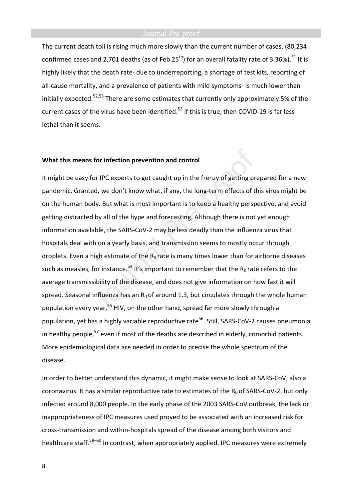The current death toll is rising much more slowly than the current number of cases. (80,234 confirmed cases and 2,701 deaths (as of Feb  $25<sup>th</sup>$ ) for an overall fatality rate of 3.36%).<sup>51</sup> It is highly likely that the death rate- due to underreporting, a shortage of test kits, reporting of all-cause mortality, and a prevalence of patients with mild symptoms- is much lower than initially expected.<sup>52,53</sup> There are some estimates that currently only approximately 5% of the current cases of the virus have been identified.<sup>53</sup> If this is true, then COVID-19 is far less lethal than it seems.

### **What this means for infection prevention and control**

It might be easy for IPC experts to get caught up in the frenzy of getting prepared for a new pandemic. Granted, we don't know what, if any, the long-term effects of this virus might be on the human body. But what is most important is to keep a healthy perspective, and avoid getting distracted by all of the hype and forecasting. Although there is not yet enough information available, the SARS-CoV-2 may be less deadly than the influenza virus that hospitals deal with on a yearly basis, and transmission seems to mostly occur through droplets. Even a high estimate of the  $R_0$  rate is many times lower than for airborne diseases such as measles, for instance.<sup>54</sup> It's important to remember that the  $R_0$  rate refers to the average transmissibility of the disease, and does not give information on how fast it will spread. Seasonal influenza has an  $R_0$  of around 1.3, but circulates through the whole human population every year.<sup>55</sup> HIV, on the other hand, spread far more slowly through a population, yet has a highly variable reproductive rate<sup>56</sup>. Still, SARS-CoV-2 causes pneumonia in healthy people,<sup>57</sup> even if most of the deaths are described in elderly, comorbid patients. More epidemiological data are needed in order to precise the whole spectrum of the disease.

In order to better understand this dynamic, it might make sense to look at SARS-CoV, also a coronavirus. It has a similar reproductive rate to estimates of the  $R_0$  of SARS-CoV-2, but only infected around 8,000 people. In the early phase of the 2003 SARS-CoV outbreak, the lack or inappropriateness of IPC measures used proved to be associated with an increased risk for cross-transmission and within-hospitals spread of the disease among both visitors and healthcare staff.<sup>58–60</sup> In contrast, when appropriately applied, IPC measures were extremely

8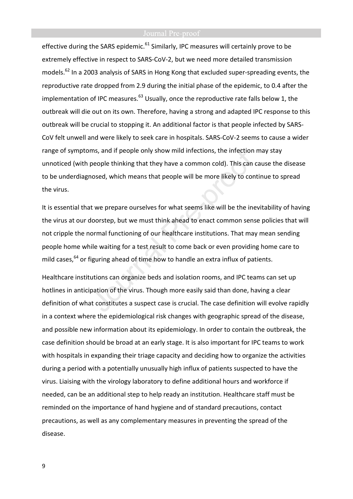effective during the SARS epidemic.<sup>61</sup> Similarly, IPC measures will certainly prove to be extremely effective in respect to SARS-CoV-2, but we need more detailed transmission models.<sup>62</sup> In a 2003 analysis of SARS in Hong Kong that excluded super-spreading events, the reproductive rate dropped from 2.9 during the initial phase of the epidemic, to 0.4 after the implementation of IPC measures. $^{63}$  Usually, once the reproductive rate falls below 1, the outbreak will die out on its own. Therefore, having a strong and adapted IPC response to this outbreak will be crucial to stopping it. An additional factor is that people infected by SARS-CoV felt unwell and were likely to seek care in hospitals. SARS-CoV-2 seems to cause a wider range of symptoms, and if people only show mild infections, the infection may stay unnoticed (with people thinking that they have a common cold). This can cause the disease to be underdiagnosed, which means that people will be more likely to continue to spread the virus.

It is essential that we prepare ourselves for what seems like will be the inevitability of having the virus at our doorstep, but we must think ahead to enact common sense policies that will not cripple the normal functioning of our healthcare institutions. That may mean sending people home while waiting for a test result to come back or even providing home care to mild cases,  $64$  or figuring ahead of time how to handle an extra influx of patients.

Healthcare institutions can organize beds and isolation rooms, and IPC teams can set up hotlines in anticipation of the virus. Though more easily said than done, having a clear definition of what constitutes a suspect case is crucial. The case definition will evolve rapidly in a context where the epidemiological risk changes with geographic spread of the disease, and possible new information about its epidemiology. In order to contain the outbreak, the case definition should be broad at an early stage. It is also important for IPC teams to work with hospitals in expanding their triage capacity and deciding how to organize the activities during a period with a potentially unusually high influx of patients suspected to have the virus. Liaising with the virology laboratory to define additional hours and workforce if needed, can be an additional step to help ready an institution. Healthcare staff must be reminded on the importance of hand hygiene and of standard precautions, contact precautions, as well as any complementary measures in preventing the spread of the disease.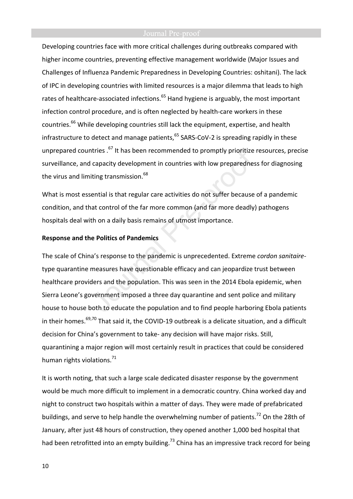Developing countries face with more critical challenges during outbreaks compared with higher income countries, preventing effective management worldwide (Major Issues and Challenges of Influenza Pandemic Preparedness in Developing Countries: oshitani). The lack of IPC in developing countries with limited resources is a major dilemma that leads to high rates of healthcare-associated infections.<sup>65</sup> Hand hygiene is arguably, the most important infection control procedure, and is often neglected by health-care workers in these countries.<sup>66</sup> While developing countries still lack the equipment, expertise, and health infrastructure to detect and manage patients, $65$  SARS-CoV-2 is spreading rapidly in these unprepared countries.<sup>67</sup> It has been recommended to promptly prioritize resources, precise surveillance, and capacity development in countries with low preparedness for diagnosing the virus and limiting transmission.<sup>68</sup>

What is most essential is that regular care activities do not suffer because of a pandemic condition, and that control of the far more common (and far more deadly) pathogens hospitals deal with on a daily basis remains of utmost importance.

### **Response and the Politics of Pandemics**

The scale of China's response to the pandemic is unprecedented. Extreme *cordon sanitaire*type quarantine measures have questionable efficacy and can jeopardize trust between healthcare providers and the population. This was seen in the 2014 Ebola epidemic, when Sierra Leone's government imposed a three day quarantine and sent police and military house to house both to educate the population and to find people harboring Ebola patients in their homes.<sup>69,70</sup> That said it, the COVID-19 outbreak is a delicate situation, and a difficult decision for China's government to take- any decision will have major risks. Still, quarantining a major region will most certainly result in practices that could be considered human rights violations.<sup>71</sup>

It is worth noting, that such a large scale dedicated disaster response by the government would be much more difficult to implement in a democratic country. China worked day and night to construct two hospitals within a matter of days. They were made of prefabricated buildings, and serve to help handle the overwhelming number of patients.<sup>72</sup> On the 28th of January, after just 48 hours of construction, they opened another 1,000 bed hospital that had been retrofitted into an empty building.<sup>73</sup> China has an impressive track record for being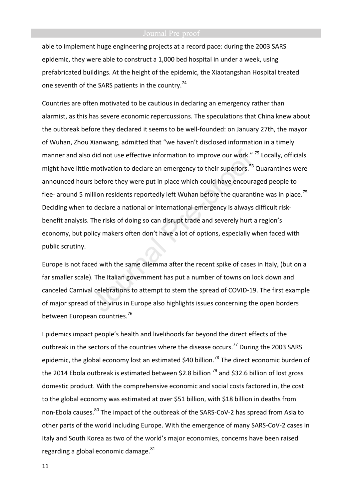able to implement huge engineering projects at a record pace: during the 2003 SARS epidemic, they were able to construct a 1,000 bed hospital in under a week, using prefabricated buildings. At the height of the epidemic, the Xiaotangshan Hospital treated one seventh of the SARS patients in the country.<sup>74</sup>

Countries are often motivated to be cautious in declaring an emergency rather than alarmist, as this has severe economic repercussions. The speculations that China knew about the outbreak before they declared it seems to be well-founded: on January 27th, the mayor of Wuhan, Zhou Xianwang, admitted that "we haven't disclosed information in a timely manner and also did not use effective information to improve our work."<sup>75</sup> Locally, officials might have little motivation to declare an emergency to their superiors.<sup>53</sup> Quarantines were announced hours before they were put in place which could have encouraged people to flee- around 5 million residents reportedly left Wuhan before the quarantine was in place.<sup>75</sup> Deciding when to declare a national or international emergency is always difficult riskbenefit analysis. The risks of doing so can disrupt trade and severely hurt a region's economy, but policy makers often don't have a lot of options, especially when faced with public scrutiny.

Europe is not faced with the same dilemma after the recent spike of cases in Italy, (but on a far smaller scale). The Italian government has put a number of towns on lock down and canceled Carnival celebrations to attempt to stem the spread of COVID-19. The first example of major spread of the virus in Europe also highlights issues concerning the open borders between European countries.<sup>76</sup>

Epidemics impact people's health and livelihoods far beyond the direct effects of the outbreak in the sectors of the countries where the disease occurs.<sup>77</sup> During the 2003 SARS epidemic, the global economy lost an estimated \$40 billion.<sup>78</sup> The direct economic burden of the 2014 Ebola outbreak is estimated between \$2.8 billion  $^{79}$  and \$32.6 billion of lost gross domestic product. With the comprehensive economic and social costs factored in, the cost to the global economy was estimated at over \$51 billion, with \$18 billion in deaths from non-Ebola causes.<sup>80</sup> The impact of the outbreak of the SARS-CoV-2 has spread from Asia to other parts of the world including Europe. With the emergence of many SARS-CoV-2 cases in Italy and South Korea as two of the world's major economies, concerns have been raised regarding a global economic damage. $81$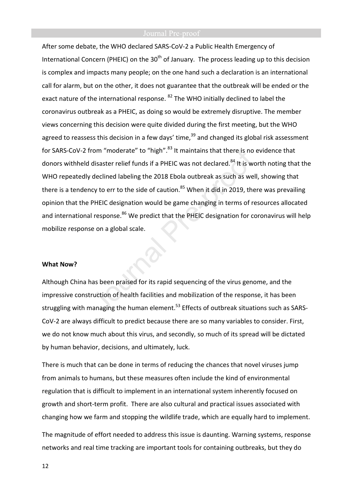After some debate, the WHO declared SARS-CoV-2 a Public Health Emergency of International Concern (PHEIC) on the  $30<sup>th</sup>$  of January. The process leading up to this decision is complex and impacts many people; on the one hand such a declaration is an international call for alarm, but on the other, it does not guarantee that the outbreak will be ended or the exact nature of the international response. <sup>82</sup> The WHO initially declined to label the coronavirus outbreak as a PHEIC, as doing so would be extremely disruptive. The member views concerning this decision were quite divided during the first meeting, but the WHO agreed to reassess this decision in a few days' time, $39$  and changed its global risk assessment for SARS-CoV-2 from "moderate" to "high".<sup>83</sup> It maintains that there is no evidence that donors withheld disaster relief funds if a PHEIC was not declared.<sup>84</sup> It is worth noting that the WHO repeatedly declined labeling the 2018 Ebola outbreak as such as well, showing that there is a tendency to err to the side of caution.<sup>85</sup> When it did in 2019, there was prevailing opinion that the PHEIC designation would be game changing in terms of resources allocated and international response.<sup>86</sup> We predict that the PHEIC designation for coronavirus will help mobilize response on a global scale.

### **What Now?**

Although China has been praised for its rapid sequencing of the virus genome, and the impressive construction of health facilities and mobilization of the response, it has been struggling with managing the human element.<sup>53</sup> Effects of outbreak situations such as SARS-CoV-2 are always difficult to predict because there are so many variables to consider. First, we do not know much about this virus, and secondly, so much of its spread will be dictated by human behavior, decisions, and ultimately, luck.

There is much that can be done in terms of reducing the chances that novel viruses jump from animals to humans, but these measures often include the kind of environmental regulation that is difficult to implement in an international system inherently focused on growth and short-term profit. There are also cultural and practical issues associated with changing how we farm and stopping the wildlife trade, which are equally hard to implement.

The magnitude of effort needed to address this issue is daunting. Warning systems, response networks and real time tracking are important tools for containing outbreaks, but they do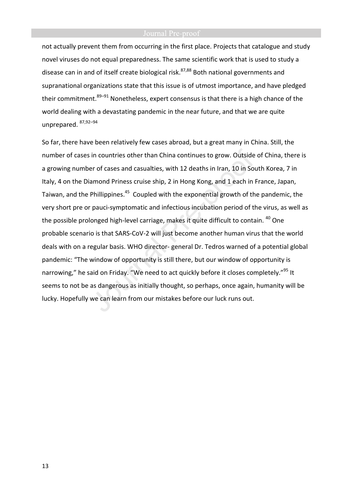not actually prevent them from occurring in the first place. Projects that catalogue and study novel viruses do not equal preparedness. The same scientific work that is used to study a disease can in and of itself create biological risk.<sup>87,88</sup> Both national governments and supranational organizations state that this issue is of utmost importance, and have pledged their commitment.  $89-91$  Nonetheless, expert consensus is that there is a high chance of the world dealing with a devastating pandemic in the near future, and that we are quite unprepared. 87,92–94

So far, there have been relatively few cases abroad, but a great many in China. Still, the number of cases in countries other than China continues to grow. Outside of China, there is a growing number of cases and casualties, with 12 deaths in Iran, 10 in South Korea, 7 in Italy, 4 on the Diamond Priness cruise ship, 2 in Hong Kong, and 1 each in France, Japan, Taiwan, and the Phillippines.<sup>45</sup> Coupled with the exponential growth of the pandemic, the very short pre or pauci-symptomatic and infectious incubation period of the virus, as well as the possible prolonged high-level carriage, makes it quite difficult to contain. <sup>40</sup> One probable scenario is that SARS-CoV-2 will just become another human virus that the world deals with on a regular basis. WHO director- general Dr. Tedros warned of a potential global pandemic: "The window of opportunity is still there, but our window of opportunity is narrowing," he said on Friday. "We need to act quickly before it closes completely."<sup>95</sup> It seems to not be as dangerous as initially thought, so perhaps, once again, humanity will be lucky. Hopefully we can learn from our mistakes before our luck runs out.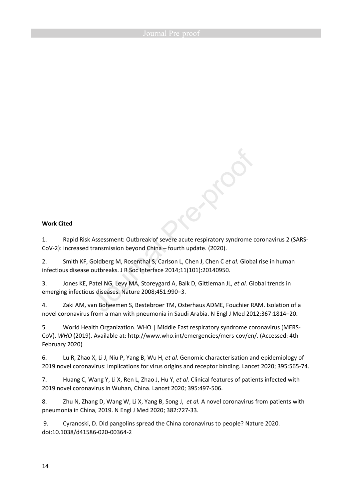### **Work Cited**

1. Rapid Risk Assessment: Outbreak of severe acute respiratory syndrome coronavirus 2 (SARS-CoV-2): increased transmission beyond China – fourth update. (2020).

RIDO

2. Smith KF, Goldberg M, Rosenthal S, Carlson L, Chen J, Chen C *et al.* Global rise in human infectious disease outbreaks. J R Soc Interface 2014;11(101):20140950.

3. Jones KE, Patel NG, Levy MA, Storeygard A, Balk D, Gittleman JL, *et al.* Global trends in emerging infectious diseases. Nature 2008;451:990–3.

4. Zaki AM, van Boheemen S, Bestebroer TM, Osterhaus ADME, Fouchier RAM. Isolation of a novel coronavirus from a man with pneumonia in Saudi Arabia. N Engl J Med 2012;367:1814–20.

5. World Health Organization. WHO | Middle East respiratory syndrome coronavirus (MERS-CoV). *WHO* (2019). Available at: http://www.who.int/emergencies/mers-cov/en/. (Accessed: 4th February 2020)

6. Lu R, Zhao X, Li J, Niu P, Yang B, Wu H, *et al.* Genomic characterisation and epidemiology of 2019 novel coronavirus: implications for virus origins and receptor binding. Lancet 2020; 395:565-74.

7. Huang C, Wang Y, Li X, Ren L, Zhao J, Hu Y, *et al.* Clinical features of patients infected with 2019 novel coronavirus in Wuhan, China. Lancet 2020; 395:497-506.

8. Zhu N, Zhang D, Wang W, Li X, Yang B, Song J, *et al.* A novel coronavirus from patients with pneumonia in China, 2019. N Engl J Med 2020; 382:727-33.

 9. Cyranoski, D. Did pangolins spread the China coronavirus to people? Nature 2020. doi:10.1038/d41586-020-00364-2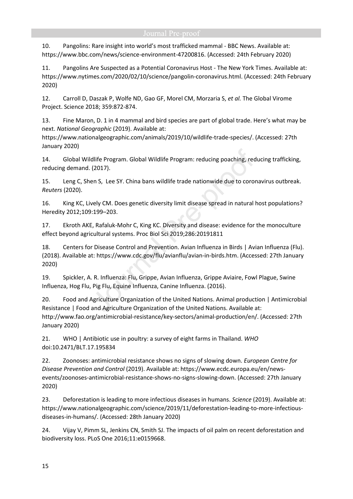10. Pangolins: Rare insight into world's most trafficked mammal - BBC News. Available at: https://www.bbc.com/news/science-environment-47200816. (Accessed: 24th February 2020)

11. Pangolins Are Suspected as a Potential Coronavirus Host - The New York Times. Available at: https://www.nytimes.com/2020/02/10/science/pangolin-coronavirus.html. (Accessed: 24th February 2020)

12. Carroll D, Daszak P, Wolfe ND, Gao GF, Morel CM, Morzaria S, *et al.* The Global Virome Project. Science 2018; 359:872-874.

13. Fine Maron, D. 1 in 4 mammal and bird species are part of global trade. Here's what may be next. *National Geographic* (2019). Available at:

https://www.nationalgeographic.com/animals/2019/10/wildlife-trade-species/. (Accessed: 27th January 2020)

14. Global Wildlife Program. Global Wildlife Program: reducing poaching, reducing trafficking, reducing demand. (2017).

15. Leng C, Shen S, Lee SY. China bans wildlife trade nationwide due to coronavirus outbreak. *Reuters* (2020).

16. King KC, Lively CM. Does genetic diversity limit disease spread in natural host populations? Heredity 2012;109:199–203.

17. Ekroth AKE, Rafaluk-Mohr C, King KC. Diversity and disease: evidence for the monoculture effect beyond agricultural systems. Proc Biol Sci 2019;286:20191811

18. Centers for Disease Control and Prevention. Avian Influenza in Birds | Avian Influenza (Flu). (2018). Available at: https://www.cdc.gov/flu/avianflu/avian-in-birds.htm. (Accessed: 27th January 2020)

19. Spickler, A. R. Influenza: Flu, Grippe, Avian Influenza, Grippe Aviaire, Fowl Plague, Swine Influenza, Hog Flu, Pig Flu, Equine Influenza, Canine Influenza. (2016).

20. Food and Agriculture Organization of the United Nations. Animal production | Antimicrobial Resistance | Food and Agriculture Organization of the United Nations. Available at: http://www.fao.org/antimicrobial-resistance/key-sectors/animal-production/en/. (Accessed: 27th January 2020)

21. WHO | Antibiotic use in poultry: a survey of eight farms in Thailand. *WHO* doi:10.2471/BLT.17.195834

22. Zoonoses: antimicrobial resistance shows no signs of slowing down. *European Centre for Disease Prevention and Control* (2019). Available at: https://www.ecdc.europa.eu/en/newsevents/zoonoses-antimicrobial-resistance-shows-no-signs-slowing-down. (Accessed: 27th January 2020)

23. Deforestation is leading to more infectious diseases in humans. *Science* (2019). Available at: https://www.nationalgeographic.com/science/2019/11/deforestation-leading-to-more-infectiousdiseases-in-humans/. (Accessed: 28th January 2020)

24. Vijay V, Pimm SL, Jenkins CN, Smith SJ. The impacts of oil palm on recent deforestation and biodiversity loss. PLoS One 2016;11:e0159668.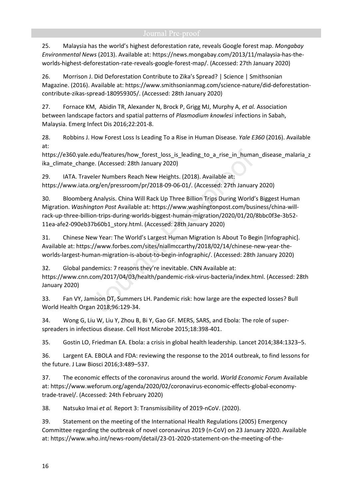25. Malaysia has the world's highest deforestation rate, reveals Google forest map. *Mongabay Environmental News* (2013). Available at: https://news.mongabay.com/2013/11/malaysia-has-theworlds-highest-deforestation-rate-reveals-google-forest-map/. (Accessed: 27th January 2020)

26. Morrison J. Did Deforestation Contribute to Zika's Spread? | Science | Smithsonian Magazine. (2016). Available at: https://www.smithsonianmag.com/science-nature/did-deforestationcontribute-zikas-spread-180959305/. (Accessed: 28th January 2020)

27. Fornace KM, Abidin TR, Alexander N, Brock P, Grigg MJ, Murphy A, *et al.* Association between landscape factors and spatial patterns of *Plasmodium knowlesi* infections in Sabah, Malaysia. Emerg Infect Dis 2016;22:201-8.

28. Robbins J. How Forest Loss Is Leading To a Rise in Human Disease. *Yale E360* (2016). Available at:

https://e360.yale.edu/features/how forest loss is leading to a rise in human disease malaria z ika\_climate\_change. (Accessed: 28th January 2020)

29. IATA. Traveler Numbers Reach New Heights. (2018). Available at: https://www.iata.org/en/pressroom/pr/2018-09-06-01/. (Accessed: 27th January 2020)

30. Bloomberg Analysis. China Will Rack Up Three Billion Trips During World's Biggest Human Migration. *Washington Post* Available at: https://www.washingtonpost.com/business/china-willrack-up-three-billion-trips-during-worlds-biggest-human-migration/2020/01/20/8bbc0f3e-3b52- 11ea-afe2-090eb37b60b1\_story.html. (Accessed: 28th January 2020)

31. Chinese New Year: The World's Largest Human Migration Is About To Begin [Infographic]. Available at: https://www.forbes.com/sites/niallmccarthy/2018/02/14/chinese-new-year-theworlds-largest-human-migration-is-about-to-begin-infographic/. (Accessed: 28th January 2020)

32. Global pandemics: 7 reasons they're inevitable. CNN Available at: https://www.cnn.com/2017/04/03/health/pandemic-risk-virus-bacteria/index.html. (Accessed: 28th January 2020)

33. Fan VY, Jamison DT, Summers LH. Pandemic risk: how large are the expected losses? Bull World Health Organ 2018;96:129-34.

34. Wong G, Liu W, Liu Y, Zhou B, Bi Y, Gao GF*.* MERS, SARS, and Ebola: The role of superspreaders in infectious disease. Cell Host Microbe 2015;18:398-401.

35. Gostin LO, Friedman EA. Ebola: a crisis in global health leadership. Lancet 2014;384:1323–5.

36. Largent EA. EBOLA and FDA: reviewing the response to the 2014 outbreak, to find lessons for the future. J Law Biosci 2016;3:489–537.

37. The economic effects of the coronavirus around the world. *World Economic Forum* Available at: https://www.weforum.org/agenda/2020/02/coronavirus-economic-effects-global-economytrade-travel/. (Accessed: 24th February 2020)

38. Natsuko Imai *et al.* Report 3: Transmissibility of 2019-nCoV. (2020).

39. Statement on the meeting of the International Health Regulations (2005) Emergency Committee regarding the outbreak of novel coronavirus 2019 (n-CoV) on 23 January 2020. Available at: https://www.who.int/news-room/detail/23-01-2020-statement-on-the-meeting-of-the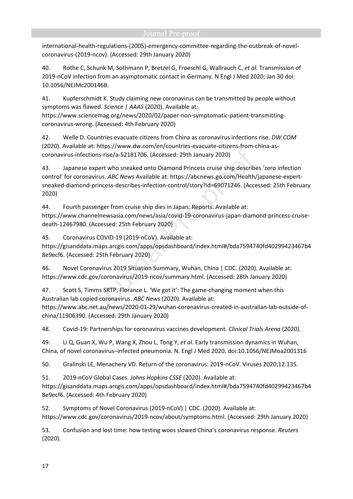international-health-regulations-(2005)-emergency-committee-regarding-the-outbreak-of-novelcoronavirus-(2019-ncov). (Accessed: 29th January 2020)

40. Rothe C, Schunk M, Sothmann P, Bretzel G, Froeschl G, Wallrauch C, *et al.* Transmission of 2019-nCoV infection from an asymptomatic contact in Germany. N Engl J Med 2020; Jan 30 doi: 10.1056/NEJMc2001468.

41. Kupferschmidt K. Study claiming new coronavirus can be transmitted by people without symptoms was flawed. *Science | AAAS* (2020). Available at: https://www.sciencemag.org/news/2020/02/paper-non-symptomatic-patient-transmittingcoronavirus-wrong. (Accessed: 4th February 2020)

42. Welle D. Countries evacuate citizens from China as coronavirus infections rise. *DW.COM* (2020). Available at: https://www.dw.com/en/countries-evacuate-citizens-from-china-ascoronavirus-infections-rise/a-52181706. (Accessed: 29th January 2020)

43. Japanese expert who sneaked onto Diamond Princess cruise ship describes 'zero infection control' for coronavirus. *ABC News* Available at: https://abcnews.go.com/Health/japanese-expertsneaked-diamond-princess-describes-infection-control/story?id=69071246. (Accessed: 25th February 2020)

44. Fourth passenger from cruise ship dies in Japan: Reports. Available at: https://www.channelnewsasia.com/news/asia/covid-19-coronavirus-japan-diamond-princess-cruisedeath-12467980. (Accessed: 25th February 2020)

45. Coronavirus COVID-19 (2019-nCoV). Available at:

https://gisanddata.maps.arcgis.com/apps/opsdashboard/index.html#/bda7594740fd40299423467b4 8e9ecf6. (Accessed: 25th February 2020)

46. Novel Coronavirus 2019 Situation Summary, Wuhan, China | CDC. (2020). Available at: https://www.cdc.gov/coronavirus/2019-ncov/summary.html. (Accessed: 28th January 2020)

47. Scott S, Timms SRTP, Florance L. 'We got it': The game-changing moment when this Australian lab copied coronavirus. *ABC News* (2020). Available at: https://www.abc.net.au/news/2020-01-29/wuhan-coronavirus-created-in-australian-lab-outside-of-

china/11906390. (Accessed: 29th January 2020)

48. Covid-19: Partnerships for coronavirus vaccines development. *Clinical Trials Arena* (2020).

49. Li Q, Guan X, Wu P, Wang X, Zhou L, Tong Y, *et al.* Early transmission dynamics in Wuhan, China, of novel coronavirus–infected pneumonia. N. Engl J Med 2020. doi:10.1056/NEJMoa2001316

50. Gralinski LE, Menachery VD. Return of the coronavirus: 2019-nCoV. Viruses 2020;12:135.

51. 2019-nCoV Global Cases. *Johns Hopkins CSSE* (2020). Available at:

https://gisanddata.maps.arcgis.com/apps/opsdashboard/index.html#/bda7594740fd40299423467b4 8e9ecf6. (Accessed: 4th February 2020)

52. Symptoms of Novel Coronavirus (2019-nCoV) | CDC. (2020). Available at: https://www.cdc.gov/coronavirus/2019-ncov/about/symptoms.html. (Accessed: 29th January 2020)

53. Confusion and lost time: how testing woes slowed China's coronavirus response. *Reuters* (2020).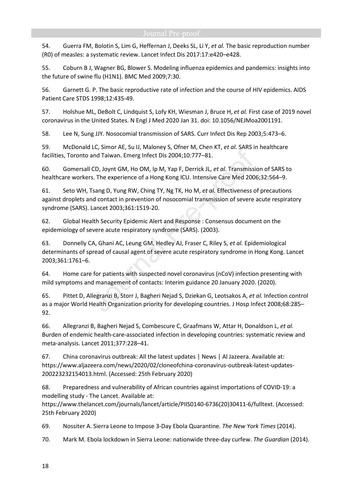54. Guerra FM, Bolotin S, Lim G, Heffernan J, Deeks SL, Li Y, *et al.* The basic reproduction number (R0) of measles: a systematic review. Lancet Infect Dis 2017:17:e420–e428.

55. Coburn B J, Wagner BG, Blower S. Modeling influenza epidemics and pandemics: insights into the future of swine flu (H1N1). BMC Med 2009;7:30.

56. Garnett G. P. The basic reproductive rate of infection and the course of HIV epidemics. AIDS Patient Care STDS 1998;12:435-49.

57. Holshue ML, DeBolt C, Lindquist S, Lofy KH, Wiesman J, Bruce H, *et al.* First case of 2019 novel coronavirus in the United States. N Engl J Med 2020 Jan 31. doi: 10.1056/NEJMoa2001191.

58. Lee N, Sung JJY. Nosocomial transmission of SARS. Curr Infect Dis Rep 2003;5:473–6.

59. McDonald LC, Simor AE, Su IJ, Maloney S, Ofner M, Chen KT, *et al.* SARS in healthcare facilities, Toronto and Taiwan. Emerg Infect Dis 2004;10:777–81.

60. Gomersall CD, Joynt GM, Ho OM, Ip M, Yap F, Derrick JL, *et al.* Transmission of SARS to healthcare workers. The experience of a Hong Kong ICU. Intensive Care Med 2006;32:564–9.

61. Seto WH, Tsang D, Yung RW, Ching TY, Ng TK, Ho M, *et al.* Effectiveness of precautions against droplets and contact in prevention of nosocomial transmission of severe acute respiratory syndrome (SARS). Lancet 2003;361:1519-20.

62. Global Health Security Epidemic Alert and Response : Consensus document on the epidemiology of severe acute respiratory syndrome (SARS). (2003).

63. Donnelly CA, Ghani AC, Leung GM, Hedley AJ, Fraser C, Riley S, *et al.* Epidemiological determinants of spread of causal agent of severe acute respiratory syndrome in Hong Kong. Lancet 2003;361:1761–6.

64. Home care for patients with suspected novel coronavirus (nCoV) infection presenting with mild symptoms and management of contacts: Interim guidance 20 January 2020. (2020).

65. Pittet D, Allegranzi B, Storr J, Bagheri Nejad S, Dziekan G, Leotsakos A, *et al.* Infection control as a major World Health Organization priority for developing countries. J Hosp Infect 2008;68:285– 92.

66. Allegranzi B, Bagheri Nejad S, Combescure C, Graafmans W, Attar H, Donaldson L, *et al.* Burden of endemic health-care-associated infection in developing countries: systematic review and meta-analysis. Lancet 2011;377:228–41.

67. China coronavirus outbreak: All the latest updates | News | Al Jazeera. Available at: https://www.aljazeera.com/news/2020/02/cloneofchina-coronavirus-outbreak-latest-updates-200223232154013.html. (Accessed: 25th February 2020)

68. Preparedness and vulnerability of African countries against importations of COVID-19: a modelling study - The Lancet. Available at:

https://www.thelancet.com/journals/lancet/article/PIIS0140-6736(20)30411-6/fulltext. (Accessed: 25th February 2020)

69. Nossiter A. Sierra Leone to Impose 3-Day Ebola Quarantine. *The New York Times* (2014).

70. Mark M. Ebola lockdown in Sierra Leone: nationwide three-day curfew. *The Guardian* (2014).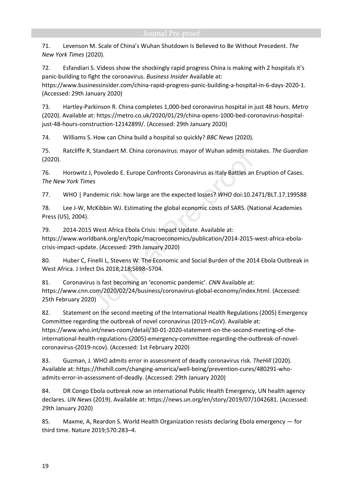71. Levenson M. Scale of China's Wuhan Shutdown Is Believed to Be Without Precedent. *The New York Times* (2020).

72. Esfandiari S. Videos show the shockingly rapid progress China is making with 2 hospitals it's panic-building to fight the coronavirus. *Business Insider* Available at:

https://www.businessinsider.com/china-rapid-progress-panic-building-a-hospital-in-6-days-2020-1. (Accessed: 29th January 2020)

73. Hartley-Parkinson R. China completes 1,000-bed coronavirus hospital in just 48 hours. *Metro* (2020). Available at: https://metro.co.uk/2020/01/29/china-opens-1000-bed-coronavirus-hospitaljust-48-hours-construction-12142899/. (Accessed: 29th January 2020)

74. Williams S. How can China build a hospital so quickly? *BBC News* (2020).

75. Ratcliffe R, Standaert M. China coronavirus: mayor of Wuhan admits mistakes. *The Guardian* (2020).

76. Horowitz J, Povoledo E. Europe Confronts Coronavirus as Italy Battles an Eruption of Cases. *The New York Times*

77. WHO | Pandemic risk: how large are the expected losses? *WHO* doi:10.2471/BLT.17.199588

78. Lee J-W, McKibbin WJ. Estimating the global economic costs of SARS. (National Academies Press (US), 2004).

79. 2014-2015 West Africa Ebola Crisis: Impact Update. Available at: https://www.worldbank.org/en/topic/macroeconomics/publication/2014-2015-west-africa-ebolacrisis-impact-update. (Accessed: 29th January 2020)

80. Huber C, Finelli L, Stevens W. The Economic and Social Burden of the 2014 Ebola Outbreak in West Africa. J Infect Dis 2018;218;S698–S704.

81. Coronavirus is fast becoming an 'economic pandemic'. *CNN* Available at: https://www.cnn.com/2020/02/24/business/coronavirus-global-economy/index.html. (Accessed: 25th February 2020)

82. Statement on the second meeting of the International Health Regulations (2005) Emergency Committee regarding the outbreak of novel coronavirus (2019-nCoV). Available at: https://www.who.int/news-room/detail/30-01-2020-statement-on-the-second-meeting-of-theinternational-health-regulations-(2005)-emergency-committee-regarding-the-outbreak-of-novelcoronavirus-(2019-ncov). (Accessed: 1st February 2020)

83. Guzman, J. WHO admits error in assessment of deadly coronavirus risk. *TheHill* (2020). Available at: https://thehill.com/changing-america/well-being/prevention-cures/480291-whoadmits-error-in-assessment-of-deadly. (Accessed: 29th January 2020)

84. DR Congo Ebola outbreak now an international Public Health Emergency, UN health agency declares. *UN News* (2019). Available at: https://news.un.org/en/story/2019/07/1042681. (Accessed: 29th January 2020)

85. Maxme, A, Reardon S. World Health Organization resists declaring Ebola emergency — for third time. Nature 2019;570:283–4.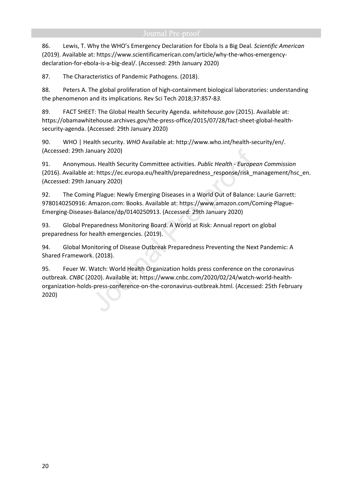86. Lewis, T. Why the WHO's Emergency Declaration for Ebola Is a Big Deal. *Scientific American* (2019). Available at: https://www.scientificamerican.com/article/why-the-whos-emergencydeclaration-for-ebola-is-a-big-deal/. (Accessed: 29th January 2020)

87. The Characteristics of Pandemic Pathogens. (2018).

88. Peters A. The global proliferation of high-containment biological laboratories: understanding the phenomenon and its implications. Rev Sci Tech 2018;37:857-8*3.*

89. FACT SHEET: The Global Health Security Agenda. *whitehouse.gov* (2015). Available at: https://obamawhitehouse.archives.gov/the-press-office/2015/07/28/fact-sheet-global-healthsecurity-agenda. (Accessed: 29th January 2020)

90. WHO | Health security. *WHO* Available at: http://www.who.int/health-security/en/. (Accessed: 29th January 2020)

91. Anonymous. Health Security Committee activities. *Public Health - European Commission* (2016). Available at: https://ec.europa.eu/health/preparedness\_response/risk\_management/hsc\_en. (Accessed: 29th January 2020)

92. The Coming Plague: Newly Emerging Diseases in a World Out of Balance: Laurie Garrett: 9780140250916: Amazon.com: Books. Available at: https://www.amazon.com/Coming-Plague-Emerging-Diseases-Balance/dp/0140250913. (Accessed: 29th January 2020)

93. Global Preparedness Monitoring Board. A World at Risk: Annual report on global preparedness for health emergencies. (2019).

94. Global Monitoring of Disease Outbreak Preparedness Preventing the Next Pandemic: A Shared Framework. (2018).

95. Feuer W. Watch: World Health Organization holds press conference on the coronavirus outbreak. *CNBC* (2020). Available at: https://www.cnbc.com/2020/02/24/watch-world-healthorganization-holds-press-conference-on-the-coronavirus-outbreak.html. (Accessed: 25th February 2020)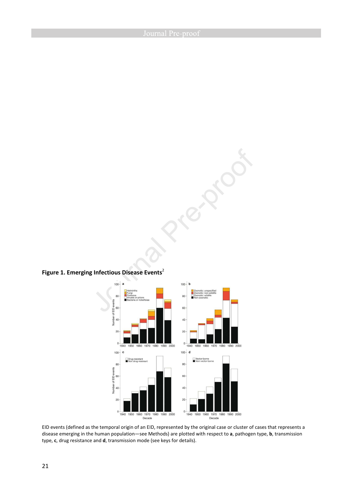Figure 1. Emerging Infectious Disease Events<sup>2</sup>



route of

EID events (defined as the temporal origin of an EID, represented by the original case or cluster of cases that represents a disease emerging in the human population—see Methods) are plotted with respect to **a**, pathogen type, **b**, transmission type, **c**, drug resistance and **d**, transmission mode (see keys for details).